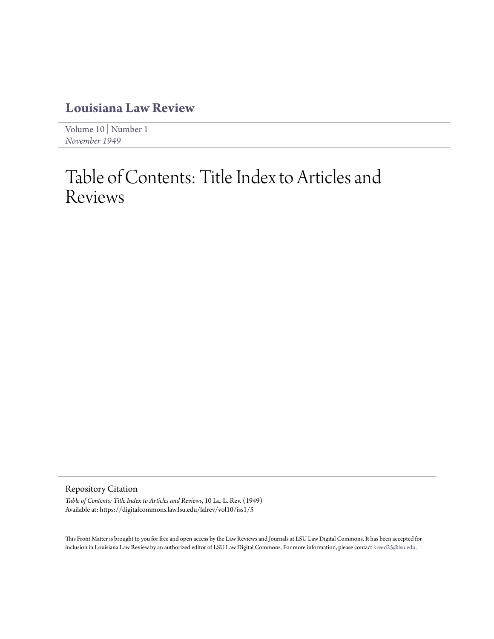## **[Louisiana Law Review](https://digitalcommons.law.lsu.edu/lalrev)**

[Volume 10](https://digitalcommons.law.lsu.edu/lalrev/vol10) | [Number 1](https://digitalcommons.law.lsu.edu/lalrev/vol10/iss1) *[November 1949](https://digitalcommons.law.lsu.edu/lalrev/vol10/iss1)*

## Table of Contents: Title Index to Articles and Reviews

Repository Citation

*Table of Contents: Title Index to Articles and Reviews*, 10 La. L. Rev. (1949) Available at: https://digitalcommons.law.lsu.edu/lalrev/vol10/iss1/5

This Front Matter is brought to you for free and open access by the Law Reviews and Journals at LSU Law Digital Commons. It has been accepted for inclusion in Louisiana Law Review by an authorized editor of LSU Law Digital Commons. For more information, please contact [kreed25@lsu.edu](mailto:kreed25@lsu.edu).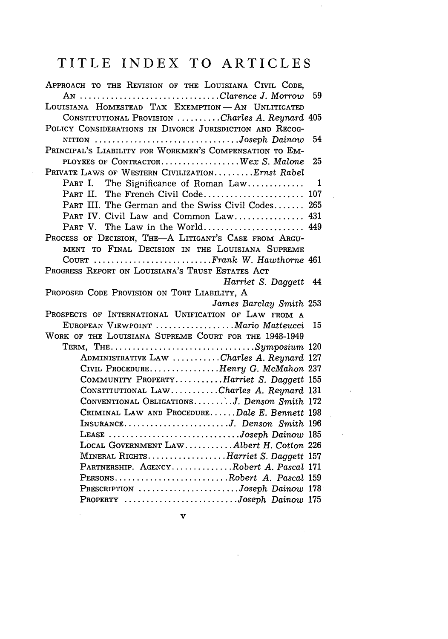## TITLE INDEX TO ARTICLES

 $\bar{\beta}$ 

| APPROACH TO THE REVISION OF THE LOUISIANA CIVIL CODE,    |    |
|----------------------------------------------------------|----|
| AN Clarence J. Morrow                                    | 59 |
| LOUISIANA HOMESTEAD TAX EXEMPTION-AN UNLITIGATED         |    |
| CONSTITUTIONAL PROVISION Charles A. Reynard 405          |    |
| POLICY CONSIDERATIONS IN DIVORCE JURISDICTION AND RECOG- |    |
| NITION Joseph Dainow                                     | 54 |
| PRINCIPAL'S LIABILITY FOR WORKMEN'S COMPENSATION TO EM-  |    |
| PLOYEES OF CONTRACTORWex S. Malone                       | 25 |
| PRIVATE LAWS OF WESTERN CIVILIZATIONErnst Rabel          |    |
| The Significance of Roman Law<br>Part I.                 | 1  |
| PART II. The French Civil Code 107                       |    |
| PART III. The German and the Swiss Civil Codes 265       |    |
| PART IV. Civil Law and Common Law 431                    |    |
| PART V. The Law in the World 449                         |    |
| PROCESS OF DECISION, THE-A LITIGANT'S CASE FROM ARGU-    |    |
| MENT TO FINAL DECISION IN THE LOUISIANA SUPREME          |    |
| COURT Frank W. Hawthorne 461                             |    |
| PROGRESS REPORT ON LOUISIANA'S TRUST ESTATES ACT         |    |
| Harriet S. Daggett                                       | 44 |
| PROPOSED CODE PROVISION ON TORT LIABILITY, A             |    |
| James Barclay Smith 253                                  |    |
| PROSPECTS OF INTERNATIONAL UNIFICATION OF LAW FROM A     |    |
| EUROPEAN VIEWPOINT  Mario Matteucci                      | 15 |
| WORK OF THE LOUISIANA SUPREME COURT FOR THE 1948-1949    |    |
| TERM, THESymposium $120$                                 |    |
| ADMINISTRATIVE LAW Charles A. Reynard 127                |    |
| CIVIL PROCEDUREHenry G. McMahon 237                      |    |
| COMMUNITY PROPERTYHarriet S. Daggett 155                 |    |
| CONSTITUTIONAL LAWCharles A. Reynard 131                 |    |
| CONVENTIONAL OBLIGATIONS J. Denson Smith 172             |    |
| CRIMINAL LAW AND PROCEDUREDale E. Bennett 198            |    |
| INSURANCEJ. Denson Smith 196                             |    |
| LEASE Joseph Dainow 185                                  |    |
| LOCAL GOVERNMENT LAWAlbert H. Cotton 226                 |    |
| MINERAL RIGHTSHarriet S. Daggett 157                     |    |
| PARTNERSHIP. AGENCYRobert A. Pascal 171                  |    |
| PERSONS. Robert A. Pascal 159                            |    |
| PRESCRIPTION Joseph Dainow 178                           |    |
| PROPERTY Joseph Dainow 175                               |    |

 $\boldsymbol{\mathrm{v}}$ 

 $\mathcal{L}(\mathcal{A})$  and  $\mathcal{L}(\mathcal{A})$  .

 $\label{eq:2.1} \mathcal{L}(\mathcal{L}^{\text{max}}_{\mathcal{L}}(\mathcal{L}^{\text{max}}_{\mathcal{L}})) \leq \mathcal{L}(\mathcal{L}^{\text{max}}_{\mathcal{L}}(\mathcal{L}^{\text{max}}_{\mathcal{L}}))$